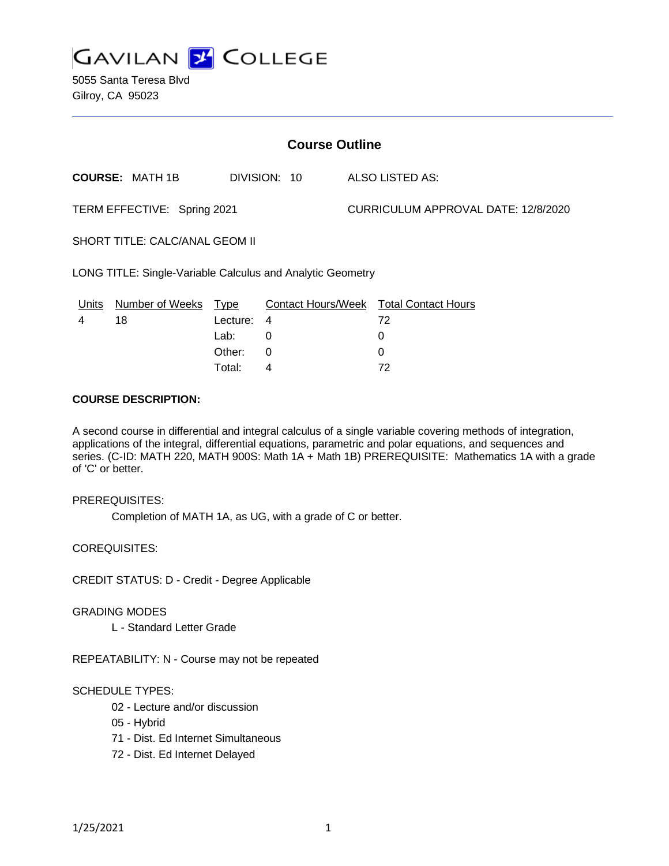

5055 Santa Teresa Blvd Gilroy, CA 95023

| <b>Course Outline</b>                                      |                        |             |              |                                     |                                               |
|------------------------------------------------------------|------------------------|-------------|--------------|-------------------------------------|-----------------------------------------------|
|                                                            | <b>COURSE: MATH 1B</b> |             | DIVISION: 10 |                                     | ALSO LISTED AS:                               |
| TERM EFFECTIVE: Spring 2021                                |                        |             |              | CURRICULUM APPROVAL DATE: 12/8/2020 |                                               |
| SHORT TITLE: CALC/ANAL GEOM II                             |                        |             |              |                                     |                                               |
| LONG TITLE: Single-Variable Calculus and Analytic Geometry |                        |             |              |                                     |                                               |
| <u>Units</u>                                               | <b>Number of Weeks</b> | <u>Type</u> |              |                                     | <b>Contact Hours/Week Total Contact Hours</b> |
| 4                                                          | 18                     | Lecture:    | 4            |                                     | 72                                            |
|                                                            |                        | Lab:        | 0            |                                     | 0                                             |
|                                                            |                        | Other:      | 0            |                                     | 0                                             |
|                                                            |                        | Total:      | 4            |                                     | 72                                            |

#### **COURSE DESCRIPTION:**

A second course in differential and integral calculus of a single variable covering methods of integration, applications of the integral, differential equations, parametric and polar equations, and sequences and series. (C-ID: MATH 220, MATH 900S: Math 1A + Math 1B) PREREQUISITE: Mathematics 1A with a grade of 'C' or better.

#### PREREQUISITES:

Completion of MATH 1A, as UG, with a grade of C or better.

COREQUISITES:

CREDIT STATUS: D - Credit - Degree Applicable

#### GRADING MODES

L - Standard Letter Grade

REPEATABILITY: N - Course may not be repeated

#### SCHEDULE TYPES:

- 02 Lecture and/or discussion
- 05 Hybrid
- 71 Dist. Ed Internet Simultaneous
- 72 Dist. Ed Internet Delayed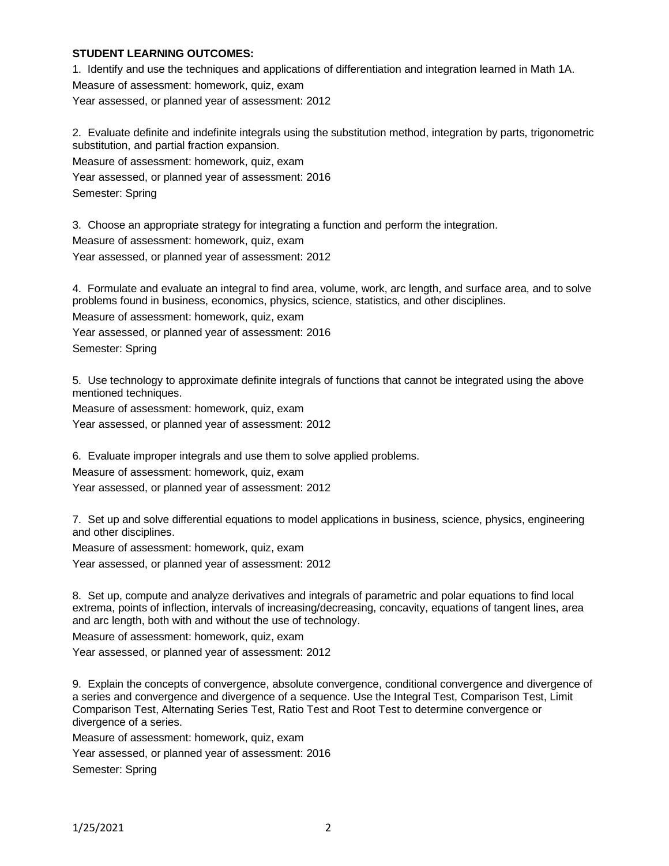### **STUDENT LEARNING OUTCOMES:**

1. Identify and use the techniques and applications of differentiation and integration learned in Math 1A. Measure of assessment: homework, quiz, exam Year assessed, or planned year of assessment: 2012

2. Evaluate definite and indefinite integrals using the substitution method, integration by parts, trigonometric substitution, and partial fraction expansion. Measure of assessment: homework, quiz, exam

Year assessed, or planned year of assessment: 2016

Semester: Spring

3. Choose an appropriate strategy for integrating a function and perform the integration. Measure of assessment: homework, quiz, exam Year assessed, or planned year of assessment: 2012

4. Formulate and evaluate an integral to find area, volume, work, arc length, and surface area, and to solve problems found in business, economics, physics, science, statistics, and other disciplines. Measure of assessment: homework, quiz, exam Year assessed, or planned year of assessment: 2016 Semester: Spring

5. Use technology to approximate definite integrals of functions that cannot be integrated using the above mentioned techniques.

Measure of assessment: homework, quiz, exam

Year assessed, or planned year of assessment: 2012

6. Evaluate improper integrals and use them to solve applied problems. Measure of assessment: homework, quiz, exam Year assessed, or planned year of assessment: 2012

7. Set up and solve differential equations to model applications in business, science, physics, engineering and other disciplines.

Measure of assessment: homework, quiz, exam

Year assessed, or planned year of assessment: 2012

8. Set up, compute and analyze derivatives and integrals of parametric and polar equations to find local extrema, points of inflection, intervals of increasing/decreasing, concavity, equations of tangent lines, area and arc length, both with and without the use of technology.

Measure of assessment: homework, quiz, exam

Year assessed, or planned year of assessment: 2012

9. Explain the concepts of convergence, absolute convergence, conditional convergence and divergence of a series and convergence and divergence of a sequence. Use the Integral Test, Comparison Test, Limit Comparison Test, Alternating Series Test, Ratio Test and Root Test to determine convergence or divergence of a series.

Measure of assessment: homework, quiz, exam Year assessed, or planned year of assessment: 2016 Semester: Spring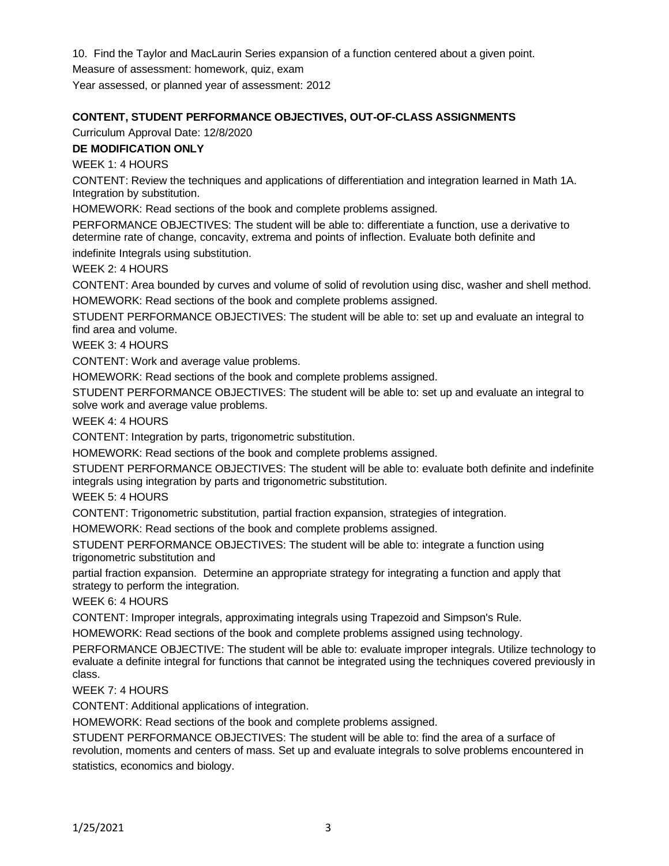10. Find the Taylor and MacLaurin Series expansion of a function centered about a given point.

Measure of assessment: homework, quiz, exam

Year assessed, or planned year of assessment: 2012

# **CONTENT, STUDENT PERFORMANCE OBJECTIVES, OUT-OF-CLASS ASSIGNMENTS**

Curriculum Approval Date: 12/8/2020

## **DE MODIFICATION ONLY**

WEEK 1: 4 HOURS

CONTENT: Review the techniques and applications of differentiation and integration learned in Math 1A. Integration by substitution.

HOMEWORK: Read sections of the book and complete problems assigned.

PERFORMANCE OBJECTIVES: The student will be able to: differentiate a function, use a derivative to determine rate of change, concavity, extrema and points of inflection. Evaluate both definite and indefinite Integrals using substitution.

WEEK 2: 4 HOURS

CONTENT: Area bounded by curves and volume of solid of revolution using disc, washer and shell method. HOMEWORK: Read sections of the book and complete problems assigned.

STUDENT PERFORMANCE OBJECTIVES: The student will be able to: set up and evaluate an integral to find area and volume.

WEEK 3: 4 HOURS

CONTENT: Work and average value problems.

HOMEWORK: Read sections of the book and complete problems assigned.

STUDENT PERFORMANCE OBJECTIVES: The student will be able to: set up and evaluate an integral to solve work and average value problems.

WEEK 4: 4 HOURS

CONTENT: Integration by parts, trigonometric substitution.

HOMEWORK: Read sections of the book and complete problems assigned.

STUDENT PERFORMANCE OBJECTIVES: The student will be able to: evaluate both definite and indefinite integrals using integration by parts and trigonometric substitution.

WEEK 5: 4 HOURS

CONTENT: Trigonometric substitution, partial fraction expansion, strategies of integration.

HOMEWORK: Read sections of the book and complete problems assigned.

STUDENT PERFORMANCE OBJECTIVES: The student will be able to: integrate a function using trigonometric substitution and

partial fraction expansion. Determine an appropriate strategy for integrating a function and apply that strategy to perform the integration.

WEEK 6: 4 HOURS

CONTENT: Improper integrals, approximating integrals using Trapezoid and Simpson's Rule.

HOMEWORK: Read sections of the book and complete problems assigned using technology.

PERFORMANCE OBJECTIVE: The student will be able to: evaluate improper integrals. Utilize technology to evaluate a definite integral for functions that cannot be integrated using the techniques covered previously in class.

WEEK 7: 4 HOURS

CONTENT: Additional applications of integration.

HOMEWORK: Read sections of the book and complete problems assigned.

STUDENT PERFORMANCE OBJECTIVES: The student will be able to: find the area of a surface of revolution, moments and centers of mass. Set up and evaluate integrals to solve problems encountered in statistics, economics and biology.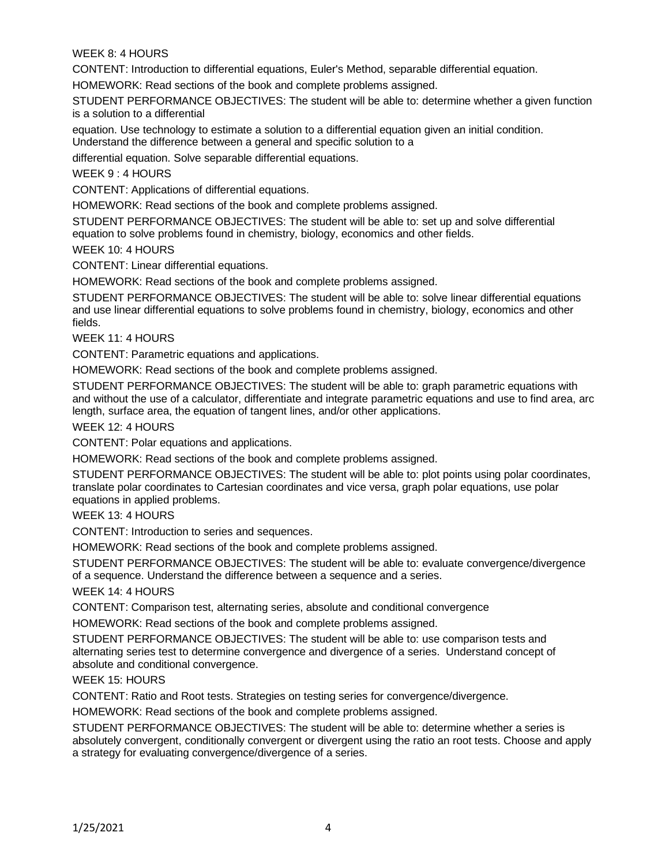### WEEK 8: 4 HOURS

CONTENT: Introduction to differential equations, Euler's Method, separable differential equation.

HOMEWORK: Read sections of the book and complete problems assigned.

STUDENT PERFORMANCE OBJECTIVES: The student will be able to: determine whether a given function is a solution to a differential

equation. Use technology to estimate a solution to a differential equation given an initial condition. Understand the difference between a general and specific solution to a

differential equation. Solve separable differential equations.

WEEK 9 : 4 HOURS

CONTENT: Applications of differential equations.

HOMEWORK: Read sections of the book and complete problems assigned.

STUDENT PERFORMANCE OBJECTIVES: The student will be able to: set up and solve differential equation to solve problems found in chemistry, biology, economics and other fields.

WEEK 10: 4 HOURS

CONTENT: Linear differential equations.

HOMEWORK: Read sections of the book and complete problems assigned.

STUDENT PERFORMANCE OBJECTIVES: The student will be able to: solve linear differential equations and use linear differential equations to solve problems found in chemistry, biology, economics and other fields.

WEEK 11: 4 HOURS

CONTENT: Parametric equations and applications.

HOMEWORK: Read sections of the book and complete problems assigned.

STUDENT PERFORMANCE OBJECTIVES: The student will be able to: graph parametric equations with and without the use of a calculator, differentiate and integrate parametric equations and use to find area, arc length, surface area, the equation of tangent lines, and/or other applications.

WEEK 12: 4 HOURS

CONTENT: Polar equations and applications.

HOMEWORK: Read sections of the book and complete problems assigned.

STUDENT PERFORMANCE OBJECTIVES: The student will be able to: plot points using polar coordinates, translate polar coordinates to Cartesian coordinates and vice versa, graph polar equations, use polar equations in applied problems.

WEEK 13: 4 HOURS

CONTENT: Introduction to series and sequences.

HOMEWORK: Read sections of the book and complete problems assigned.

STUDENT PERFORMANCE OBJECTIVES: The student will be able to: evaluate convergence/divergence of a sequence. Understand the difference between a sequence and a series.

WEEK 14: 4 HOURS

CONTENT: Comparison test, alternating series, absolute and conditional convergence

HOMEWORK: Read sections of the book and complete problems assigned.

STUDENT PERFORMANCE OBJECTIVES: The student will be able to: use comparison tests and alternating series test to determine convergence and divergence of a series. Understand concept of absolute and conditional convergence.

WEEK 15: HOURS

CONTENT: Ratio and Root tests. Strategies on testing series for convergence/divergence.

HOMEWORK: Read sections of the book and complete problems assigned.

STUDENT PERFORMANCE OBJECTIVES: The student will be able to: determine whether a series is absolutely convergent, conditionally convergent or divergent using the ratio an root tests. Choose and apply a strategy for evaluating convergence/divergence of a series.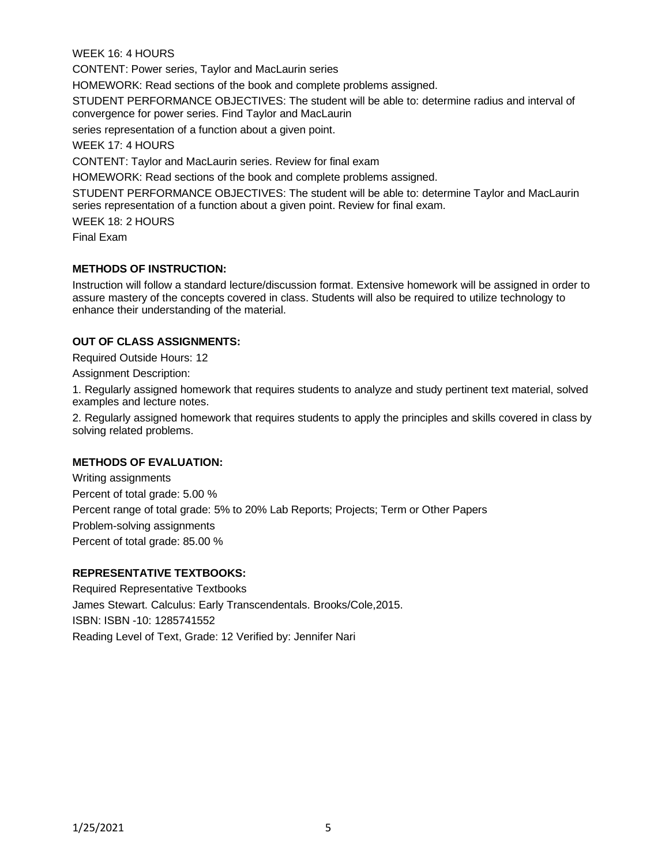WEEK 16: 4 HOURS CONTENT: Power series, Taylor and MacLaurin series HOMEWORK: Read sections of the book and complete problems assigned. STUDENT PERFORMANCE OBJECTIVES: The student will be able to: determine radius and interval of convergence for power series. Find Taylor and MacLaurin series representation of a function about a given point. WEEK 17: 4 HOURS CONTENT: Taylor and MacLaurin series. Review for final exam HOMEWORK: Read sections of the book and complete problems assigned. STUDENT PERFORMANCE OBJECTIVES: The student will be able to: determine Taylor and MacLaurin series representation of a function about a given point. Review for final exam. WEEK 18: 2 HOURS Final Exam

### **METHODS OF INSTRUCTION:**

Instruction will follow a standard lecture/discussion format. Extensive homework will be assigned in order to assure mastery of the concepts covered in class. Students will also be required to utilize technology to enhance their understanding of the material.

### **OUT OF CLASS ASSIGNMENTS:**

Required Outside Hours: 12

Assignment Description:

1. Regularly assigned homework that requires students to analyze and study pertinent text material, solved examples and lecture notes.

2. Regularly assigned homework that requires students to apply the principles and skills covered in class by solving related problems.

#### **METHODS OF EVALUATION:**

Writing assignments Percent of total grade: 5.00 % Percent range of total grade: 5% to 20% Lab Reports; Projects; Term or Other Papers Problem-solving assignments Percent of total grade: 85.00 %

### **REPRESENTATIVE TEXTBOOKS:**

Required Representative Textbooks James Stewart. Calculus: Early Transcendentals. Brooks/Cole,2015. ISBN: ISBN -10: 1285741552 Reading Level of Text, Grade: 12 Verified by: Jennifer Nari